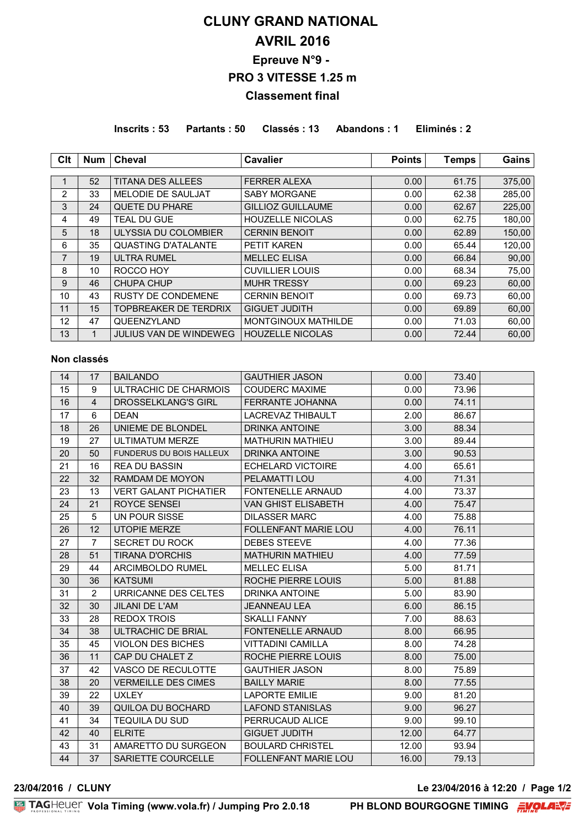# **CLUNY GRAND NATIONAL AVRIL 2016 Epreuve N°9 - PRO 3 VITESSE 1.25 m Classement final**

**Inscrits : 53 Partants : 50 Classés : 13 Abandons : 1 Eliminés : 2**

| Clt            | <b>Num</b> | <b>Cheval</b>                 | Cavalier                   | <b>Points</b> | <b>Temps</b> | Gains  |
|----------------|------------|-------------------------------|----------------------------|---------------|--------------|--------|
|                |            |                               |                            |               |              |        |
|                | 52         | <b>TITANA DES ALLEES</b>      | <b>FERRER ALEXA</b>        | 0.00          | 61.75        | 375,00 |
| $\overline{2}$ | 33         | <b>MELODIE DE SAULJAT</b>     | <b>SABY MORGANE</b>        | 0.00          | 62.38        | 285,00 |
| 3              | 24         | <b>QUETE DU PHARE</b>         | <b>GILLIOZ GUILLAUME</b>   | 0.00          | 62.67        | 225,00 |
| 4              | 49         | <b>TEAL DU GUE</b>            | <b>HOUZELLE NICOLAS</b>    | 0.00          | 62.75        | 180,00 |
| 5              | 18         | <b>ULYSSIA DU COLOMBIER</b>   | <b>CERNIN BENOIT</b>       | 0.00          | 62.89        | 150,00 |
| 6              | 35         | <b>QUASTING D'ATALANTE</b>    | <b>PETIT KAREN</b>         | 0.00          | 65.44        | 120,00 |
| 7              | 19         | <b>ULTRA RUMEL</b>            | <b>MELLEC ELISA</b>        | 0.00          | 66.84        | 90,00  |
| 8              | 10         | ROCCO HOY                     | <b>CUVILLIER LOUIS</b>     | 0.00          | 68.34        | 75,00  |
| 9              | 46         | <b>CHUPA CHUP</b>             | <b>MUHR TRESSY</b>         | 0.00          | 69.23        | 60,00  |
| 10             | 43         | <b>RUSTY DE CONDEMENE</b>     | <b>CERNIN BENOIT</b>       | 0.00          | 69.73        | 60,00  |
| 11             | 15         | <b>TOPBREAKER DE TERDRIX</b>  | <b>GIGUET JUDITH</b>       | 0.00          | 69.89        | 60,00  |
| 12             | 47         | QUEENZYLAND                   | <b>MONTGINOUX MATHILDE</b> | 0.00          | 71.03        | 60,00  |
| 13             | 1          | <b>JULIUS VAN DE WINDEWEG</b> | <b>HOUZELLE NICOLAS</b>    | 0.00          | 72.44        | 60,00  |

### **Non classés**

| 14 | 17             | <b>BAILANDO</b>                 | <b>GAUTHIER JASON</b>       | 0.00  | 73.40 |  |
|----|----------------|---------------------------------|-----------------------------|-------|-------|--|
| 15 | 9              | ULTRACHIC DE CHARMOIS           | <b>COUDERC MAXIME</b>       | 0.00  | 73.96 |  |
| 16 | 4              | <b>DROSSELKLANG'S GIRL</b>      | FERRANTE JOHANNA            | 0.00  | 74.11 |  |
| 17 | 6              | <b>DEAN</b>                     | LACREVAZ THIBAULT           | 2.00  | 86.67 |  |
| 18 | 26             | UNIEME DE BLONDEL               | <b>DRINKA ANTOINE</b>       | 3.00  | 88.34 |  |
| 19 | 27             | <b>ULTIMATUM MERZE</b>          | <b>MATHURIN MATHIEU</b>     | 3.00  | 89.44 |  |
| 20 | 50             | <b>FUNDERUS DU BOIS HALLEUX</b> | <b>DRINKA ANTOINE</b>       | 3.00  | 90.53 |  |
| 21 | 16             | <b>REA DU BASSIN</b>            | <b>ECHELARD VICTOIRE</b>    | 4.00  | 65.61 |  |
| 22 | 32             | RAMDAM DE MOYON                 | <b>PELAMATTI LOU</b>        | 4.00  | 71.31 |  |
| 23 | 13             | <b>VERT GALANT PICHATIER</b>    | <b>FONTENELLE ARNAUD</b>    | 4.00  | 73.37 |  |
| 24 | 21             | ROYCE SENSEI                    | <b>VAN GHIST ELISABETH</b>  | 4.00  | 75.47 |  |
| 25 | 5              | UN POUR SISSE                   | <b>DILASSER MARC</b>        | 4.00  | 75.88 |  |
| 26 | 12             | <b>UTOPIE MERZE</b>             | <b>FOLLENFANT MARIE LOU</b> | 4.00  | 76.11 |  |
| 27 | $\overline{7}$ | <b>SECRET DU ROCK</b>           | <b>DEBES STEEVE</b>         | 4.00  | 77.36 |  |
| 28 | 51             | <b>TIRANA D'ORCHIS</b>          | <b>MATHURIN MATHIEU</b>     | 4.00  | 77.59 |  |
| 29 | 44             | ARCIMBOLDO RUMEL                | <b>MELLEC ELISA</b>         | 5.00  | 81.71 |  |
| 30 | 36             | <b>KATSUMI</b>                  | ROCHE PIERRE LOUIS          | 5.00  | 81.88 |  |
| 31 | $\overline{2}$ | URRICANNE DES CELTES            | DRINKA ANTOINE              | 5.00  | 83.90 |  |
| 32 | 30             | <b>JILANI DE L'AM</b>           | <b>JEANNEAU LEA</b>         | 6.00  | 86.15 |  |
| 33 | 28             | <b>REDOX TROIS</b>              | <b>SKALLI FANNY</b>         | 7.00  | 88.63 |  |
| 34 | 38             | ULTRACHIC DE BRIAL              | <b>FONTENELLE ARNAUD</b>    | 8.00  | 66.95 |  |
| 35 | 45             | <b>VIOLON DES BICHES</b>        | <b>VITTADINI CAMILLA</b>    | 8.00  | 74.28 |  |
| 36 | 11             | CAP DU CHALET Z                 | ROCHE PIERRE LOUIS          | 8.00  | 75.00 |  |
| 37 | 42             | VASCO DE RECULOTTE              | <b>GAUTHIER JASON</b>       | 8.00  | 75.89 |  |
| 38 | 20             | <b>VERMEILLE DES CIMES</b>      | <b>BAILLY MARIE</b>         | 8.00  | 77.55 |  |
| 39 | 22             | <b>UXLEY</b>                    | <b>LAPORTE EMILIE</b>       | 9.00  | 81.20 |  |
| 40 | 39             | QUILOA DU BOCHARD               | <b>LAFOND STANISLAS</b>     | 9.00  | 96.27 |  |
| 41 | 34             | <b>TEQUILA DU SUD</b>           | PERRUCAUD ALICE             | 9.00  | 99.10 |  |
| 42 | 40             | <b>ELRITE</b>                   | <b>GIGUET JUDITH</b>        | 12.00 | 64.77 |  |
| 43 | 31             | AMARETTO DU SURGEON             | <b>BOULARD CHRISTEL</b>     | 12.00 | 93.94 |  |
| 44 | 37             | SARIETTE COURCELLE              | <b>FOLLENFANT MARIE LOU</b> | 16.00 | 79.13 |  |

**23/04/2016 / CLUNY Le 23/04/2016 à 12:20 / Page 1/2**